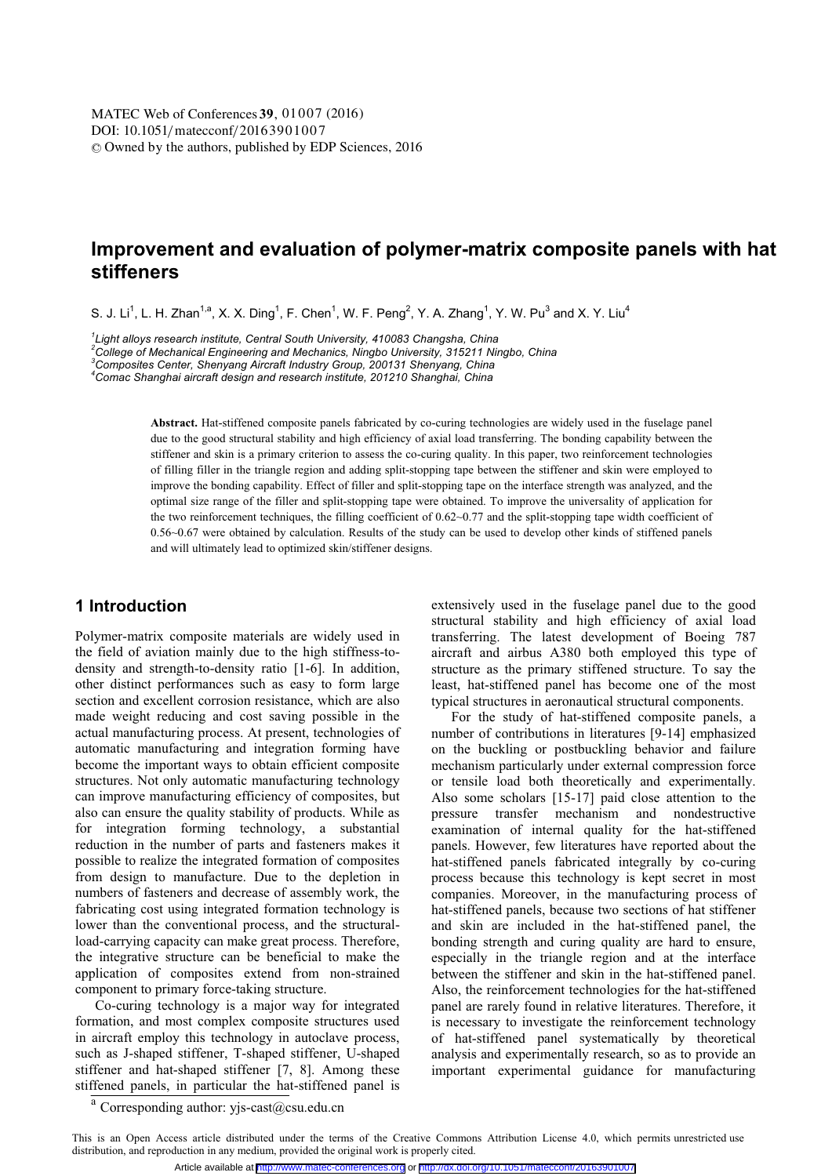# **Improvement and evaluation of polymer-matrix composite panels with hat stiffeners**

S. J. Li<sup>1</sup>, L. H. Zhan<sup>1,a</sup>, X. X. Ding<sup>1</sup>, F. Chen<sup>1</sup>, W. F. Peng<sup>2</sup>, Y. A. Zhang<sup>1</sup>, Y. W. Pu<sup>3</sup> and X. Y. Liu<sup>4</sup>

*1 Light alloys research institute, Central South University, 410083 Changsha, China 2*

*College of Mechanical Engineering and Mechanics, Ningbo University, 315211 Ningbo, China 3*

<sup>3</sup> Composites Center, Shenyang Aircraft Industry Group, 200131 Shenyang, China

*Comac Shanghai aircraft design and research institute, 201210 Shanghai, China* 

**Abstract.** Hat-stiffened composite panels fabricated by co-curing technologies are widely used in the fuselage panel due to the good structural stability and high efficiency of axial load transferring. The bonding capability between the stiffener and skin is a primary criterion to assess the co-curing quality. In this paper, two reinforcement technologies of filling filler in the triangle region and adding split-stopping tape between the stiffener and skin were employed to improve the bonding capability. Effect of filler and split-stopping tape on the interface strength was analyzed, and the optimal size range of the filler and split-stopping tape were obtained. To improve the universality of application for the two reinforcement techniques, the filling coefficient of  $0.62-0.77$  and the split-stopping tape width coefficient of 0.56~0.67 were obtained by calculation. Results of the study can be used to develop other kinds of stiffened panels and will ultimately lead to optimized skin/stiffener designs.

# **1 Introduction**

Polymer-matrix composite materials are widely used in the field of aviation mainly due to the high stiffness-todensity and strength-to-density ratio [1-6]. In addition, other distinct performances such as easy to form large section and excellent corrosion resistance, which are also made weight reducing and cost saving possible in the actual manufacturing process. At present, technologies of automatic manufacturing and integration forming have become the important ways to obtain efficient composite structures. Not only automatic manufacturing technology can improve manufacturing efficiency of composites, but also can ensure the quality stability of products. While as for integration forming technology, a substantial reduction in the number of parts and fasteners makes it possible to realize the integrated formation of composites from design to manufacture. Due to the depletion in numbers of fasteners and decrease of assembly work, the fabricating cost using integrated formation technology is lower than the conventional process, and the structuralload-carrying capacity can make great process. Therefore, the integrative structure can be beneficial to make the application of composites extend from non-strained component to primary force-taking structure.

Co-curing technology is a major way for integrated formation, and most complex composite structures used in aircraft employ this technology in autoclave process, such as J-shaped stiffener, T-shaped stiffener, U-shaped stiffener and hat-shaped stiffener [7, 8]. Among these stiffened panels, in particular the hat-stiffened panel is

extensively used in the fuselage panel due to the good structural stability and high efficiency of axial load transferring. The latest development of Boeing 787 aircraft and airbus A380 both employed this type of structure as the primary stiffened structure. To say the least, hat-stiffened panel has become one of the most typical structures in aeronautical structural components.

For the study of hat-stiffened composite panels, a number of contributions in literatures [9-14] emphasized on the buckling or postbuckling behavior and failure mechanism particularly under external compression force or tensile load both theoretically and experimentally. Also some scholars [15-17] paid close attention to the pressure transfer mechanism and nondestructive examination of internal quality for the hat-stiffened panels. However, few literatures have reported about the hat-stiffened panels fabricated integrally by co-curing process because this technology is kept secret in most companies. Moreover, in the manufacturing process of hat-stiffened panels, because two sections of hat stiffener and skin are included in the hat-stiffened panel, the bonding strength and curing quality are hard to ensure, especially in the triangle region and at the interface between the stiffener and skin in the hat-stiffened panel. Also, the reinforcement technologies for the hat-stiffened panel are rarely found in relative literatures. Therefore, it is necessary to investigate the reinforcement technology of hat-stiffened panel systematically by theoretical analysis and experimentally research, so as to provide an important experimental guidance for manufacturing

 $a^{a}$  Corresponding author: yjs-cast@csu.edu.cn

This is an Open Access article distributed under the terms of the Creative Commons Attribution License 4.0, which permits unrestricted use distribution, and reproduction in any medium, provided the original work is properly cited.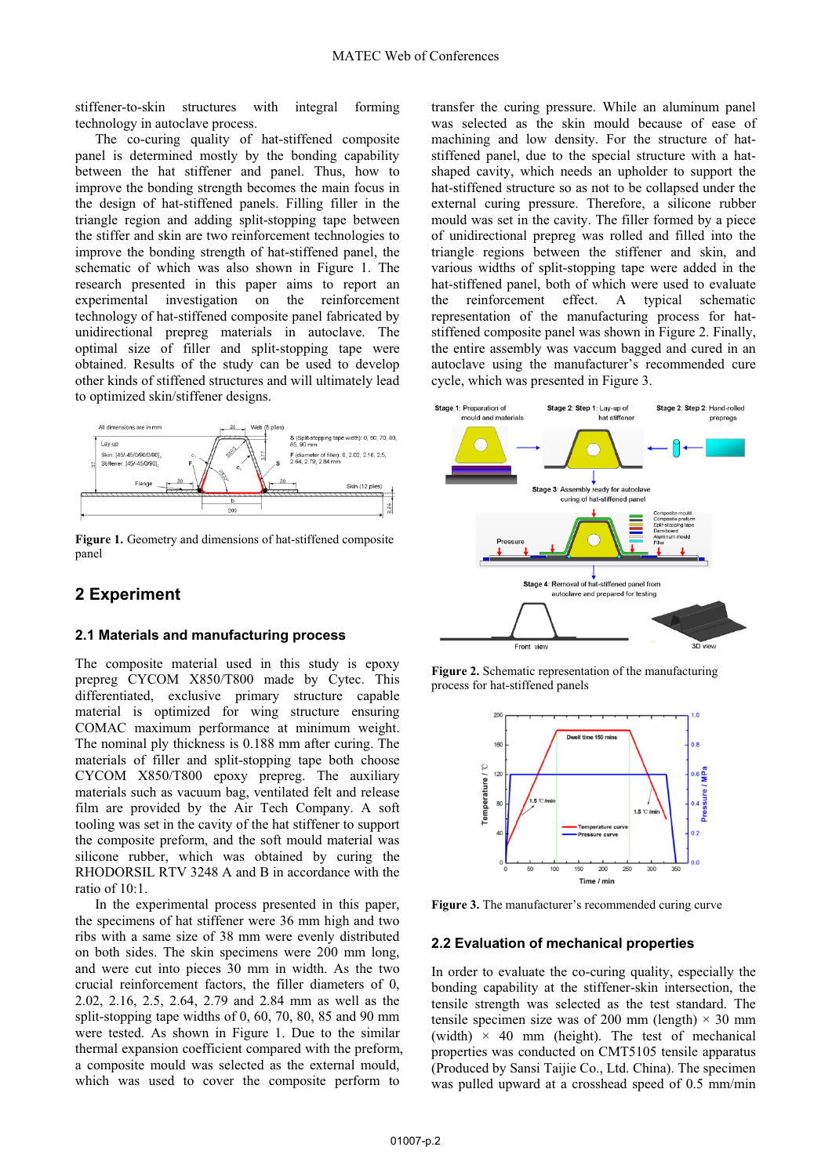stiffener-to-skin structures with integral forming technology in autoclave process.

The co-curing quality of hat-stiffened composite panel is determined mostly by the bonding capability between the hat stiffener and panel. Thus, how to improve the bonding strength becomes the main focus in the design of hat-stiffened panels. Filling filler in the triangle region and adding split-stopping tape between the stiffer and skin are two reinforcement technologies to improve the bonding strength of hat-stiffened panel, the schematic of which was also shown in Figure 1. The research presented in this paper aims to report an experimental investigation on the reinforcement technology of hat-stiffened composite panel fabricated by unidirectional prepreg materials in autoclave. The optimal size of filler and split-stopping tape were obtained. Results of the study can be used to develop other kinds of stiffened structures and will ultimately lead to optimized skin/stiffener designs.



**Figure 1.** Geometry and dimensions of hat-stiffened composite panel

# **2 Experiment**

#### **2.1 Materials and manufacturing process**

The composite material used in this study is epoxy prepreg CYCOM X850/T800 made by Cytec. This differentiated, exclusive primary structure capable material is optimized for wing structure ensuring COMAC maximum performance at minimum weight. The nominal ply thickness is 0.188 mm after curing. The materials of filler and split-stopping tape both choose CYCOM X850/T800 epoxy prepreg. The auxiliary materials such as vacuum bag, ventilated felt and release film are provided by the Air Tech Company. A soft tooling was set in the cavity of the hat stiffener to support the composite preform, and the soft mould material was silicone rubber, which was obtained by curing the RHODORSIL RTV 3248 A and B in accordance with the ratio of 10:1.

In the experimental process presented in this paper, the specimens of hat stiffener were 36 mm high and two ribs with a same size of 38 mm were evenly distributed on both sides. The skin specimens were 200 mm long, and were cut into pieces 30 mm in width. As the two crucial reinforcement factors, the filler diameters of 0, 2.02, 2.16, 2.5, 2.64, 2.79 and 2.84 mm as well as the split-stopping tape widths of 0, 60, 70, 80, 85 and 90 mm were tested. As shown in Figure 1. Due to the similar thermal expansion coefficient compared with the preform, a composite mould was selected as the external mould, which was used to cover the composite perform to

transfer the curing pressure. While an aluminum panel was selected as the skin mould because of ease of machining and low density. For the structure of hatstiffened panel, due to the special structure with a hatshaped cavity, which needs an upholder to support the hat-stiffened structure so as not to be collapsed under the external curing pressure. Therefore, a silicone rubber mould was set in the cavity. The filler formed by a piece of unidirectional prepreg was rolled and filled into the triangle regions between the stiffener and skin, and various widths of split-stopping tape were added in the hat-stiffened panel, both of which were used to evaluate the reinforcement effect. A typical schematic representation of the manufacturing process for hatstiffened composite panel was shown in Figure 2. Finally, the entire assembly was vaccum bagged and cured in an autoclave using the manufacturer's recommended cure cycle, which was presented in Figure 3.



**Figure 2.** Schematic representation of the manufacturing process for hat-stiffened panels



**Figure 3.** The manufacturer's recommended curing curve

#### **2.2 Evaluation of mechanical properties**

In order to evaluate the co-curing quality, especially the bonding capability at the stiffener-skin intersection, the tensile strength was selected as the test standard. The tensile specimen size was of 200 mm (length)  $\times$  30 mm (width)  $\times$  40 mm (height). The test of mechanical properties was conducted on CMT5105 tensile apparatus (Produced by Sansi Taijie Co., Ltd. China). The specimen was pulled upward at a crosshead speed of 0.5 mm/min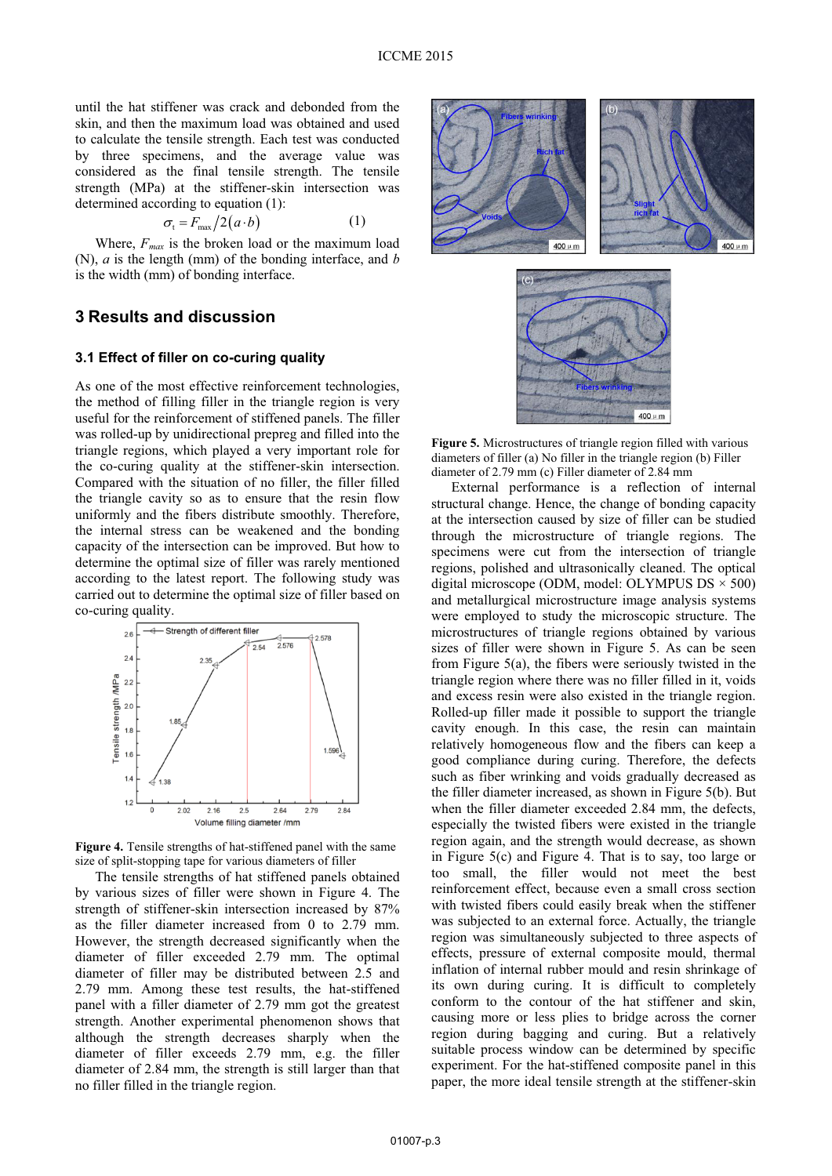until the hat stiffener was crack and debonded from the skin, and then the maximum load was obtained and used to calculate the tensile strength. Each test was conducted by three specimens, and the average value was considered as the final tensile strength. The tensile strength (MPa) at the stiffener-skin intersection was determined according to equation (1):

$$
\sigma_{t} = F_{\text{max}}/2(a \cdot b) \tag{1}
$$

Where,  $F_{max}$  is the broken load or the maximum load (N), *a* is the length (mm) of the bonding interface, and *b*  is the width (mm) of bonding interface.

### **3 Results and discussion**

#### **3.1 Effect of filler on co-curing quality**

As one of the most effective reinforcement technologies, the method of filling filler in the triangle region is very useful for the reinforcement of stiffened panels. The filler was rolled-up by unidirectional prepreg and filled into the triangle regions, which played a very important role for the co-curing quality at the stiffener-skin intersection. Compared with the situation of no filler, the filler filled the triangle cavity so as to ensure that the resin flow uniformly and the fibers distribute smoothly. Therefore, the internal stress can be weakened and the bonding capacity of the intersection can be improved. But how to determine the optimal size of filler was rarely mentioned according to the latest report. The following study was carried out to determine the optimal size of filler based on co-curing quality.



**Figure 4.** Tensile strengths of hat-stiffened panel with the same size of split-stopping tape for various diameters of filler

The tensile strengths of hat stiffened panels obtained by various sizes of filler were shown in Figure 4. The strength of stiffener-skin intersection increased by 87% as the filler diameter increased from 0 to 2.79 mm. However, the strength decreased significantly when the diameter of filler exceeded 2.79 mm. The optimal diameter of filler may be distributed between 2.5 and 2.79 mm. Among these test results, the hat-stiffened panel with a filler diameter of 2.79 mm got the greatest strength. Another experimental phenomenon shows that although the strength decreases sharply when the diameter of filler exceeds 2.79 mm, e.g. the filler diameter of 2.84 mm, the strength is still larger than that no filler filled in the triangle region.







External performance is a reflection of internal structural change. Hence, the change of bonding capacity at the intersection caused by size of filler can be studied through the microstructure of triangle regions. The specimens were cut from the intersection of triangle regions, polished and ultrasonically cleaned. The optical digital microscope (ODM, model: OLYMPUS  $DS \times 500$ ) and metallurgical microstructure image analysis systems were employed to study the microscopic structure. The microstructures of triangle regions obtained by various sizes of filler were shown in Figure 5. As can be seen from Figure 5(a), the fibers were seriously twisted in the triangle region where there was no filler filled in it, voids and excess resin were also existed in the triangle region. Rolled-up filler made it possible to support the triangle cavity enough. In this case, the resin can maintain relatively homogeneous flow and the fibers can keep a good compliance during curing. Therefore, the defects such as fiber wrinking and voids gradually decreased as the filler diameter increased, as shown in Figure 5(b). But when the filler diameter exceeded 2.84 mm, the defects, especially the twisted fibers were existed in the triangle region again, and the strength would decrease, as shown in Figure 5(c) and Figure 4. That is to say, too large or too small, the filler would not meet the best reinforcement effect, because even a small cross section with twisted fibers could easily break when the stiffener was subjected to an external force. Actually, the triangle region was simultaneously subjected to three aspects of effects, pressure of external composite mould, thermal inflation of internal rubber mould and resin shrinkage of its own during curing. It is difficult to completely conform to the contour of the hat stiffener and skin, causing more or less plies to bridge across the corner region during bagging and curing. But a relatively suitable process window can be determined by specific experiment. For the hat-stiffened composite panel in this paper, the more ideal tensile strength at the stiffener-skin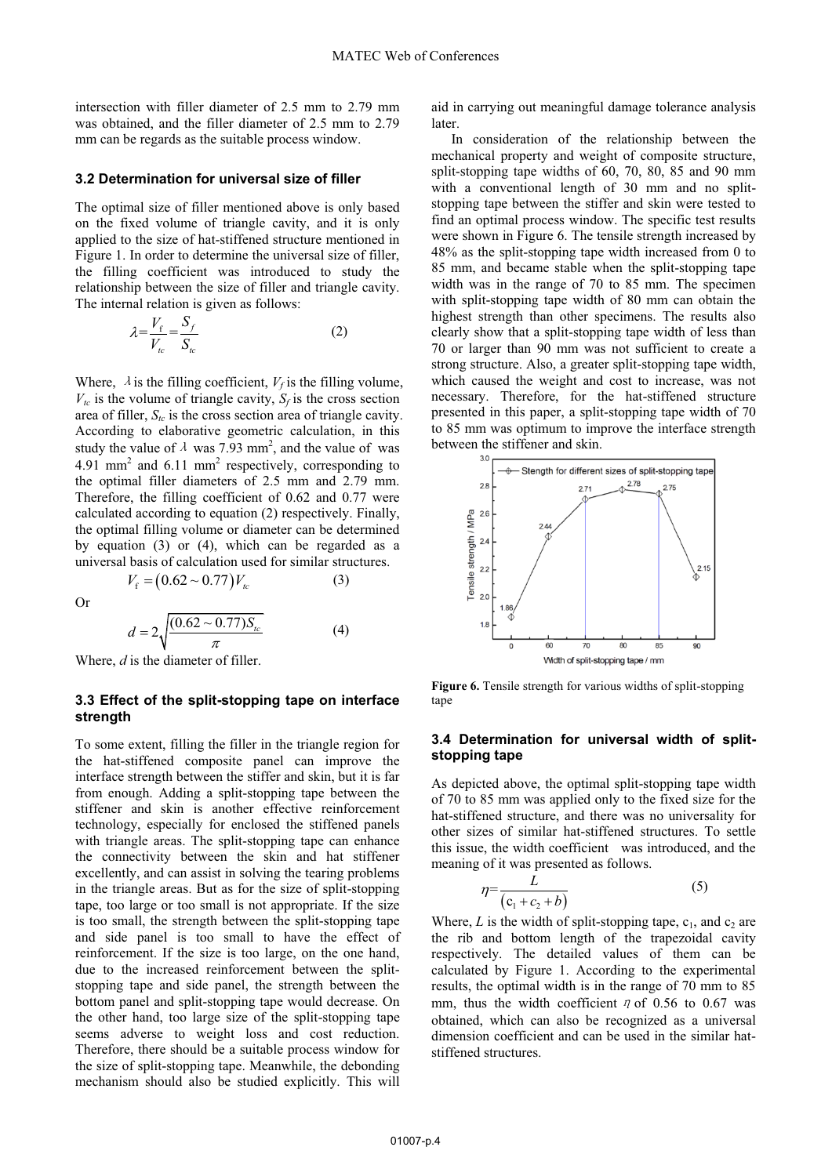intersection with filler diameter of 2.5 mm to 2.79 mm was obtained, and the filler diameter of 2.5 mm to 2.79 mm can be regards as the suitable process window.

#### **3.2 Determination for universal size of filler**

The optimal size of filler mentioned above is only based on the fixed volume of triangle cavity, and it is only applied to the size of hat-stiffened structure mentioned in Figure 1. In order to determine the universal size of filler, the filling coefficient was introduced to study the relationship between the size of filler and triangle cavity. The internal relation is given as follows:

$$
\lambda = \frac{V_f}{V_{tc}} = \frac{S_f}{S_{tc}}\tag{2}
$$

Where,  $\lambda$  is the filling coefficient,  $V_f$  is the filling volume,  $V_t$  is the volume of triangle cavity,  $S_t$  is the cross section area of filler,  $S_{tc}$  is the cross section area of triangle cavity. According to elaborative geometric calculation, in this study the value of  $\lambda$  was 7.93 mm<sup>2</sup>, and the value of was 4.91 mm<sup>2</sup> and 6.11 mm<sup>2</sup> respectively, corresponding to the optimal filler diameters of 2.5 mm and 2.79 mm. Therefore, the filling coefficient of 0.62 and 0.77 were calculated according to equation (2) respectively. Finally, the optimal filling volume or diameter can be determined by equation (3) or (4), which can be regarded as a universal basis of calculation used for similar structures.

Or

$$
d = 2\sqrt{\frac{(0.62 - 0.77)S_{ic}}{\pi}}
$$
 (4)

 $V_f = (0.62 \sim 0.77) V_{tc}$  (3)

Where, *d* is the diameter of filler.

#### **3.3 Effect of the split-stopping tape on interface strength**

To some extent, filling the filler in the triangle region for the hat-stiffened composite panel can improve the interface strength between the stiffer and skin, but it is far from enough. Adding a split-stopping tape between the stiffener and skin is another effective reinforcement technology, especially for enclosed the stiffened panels with triangle areas. The split-stopping tape can enhance the connectivity between the skin and hat stiffener excellently, and can assist in solving the tearing problems in the triangle areas. But as for the size of split-stopping tape, too large or too small is not appropriate. If the size is too small, the strength between the split-stopping tape and side panel is too small to have the effect of reinforcement. If the size is too large, on the one hand, due to the increased reinforcement between the splitstopping tape and side panel, the strength between the bottom panel and split-stopping tape would decrease. On the other hand, too large size of the split-stopping tape seems adverse to weight loss and cost reduction. Therefore, there should be a suitable process window for the size of split-stopping tape. Meanwhile, the debonding mechanism should also be studied explicitly. This will

aid in carrying out meaningful damage tolerance analysis later.

In consideration of the relationship between the mechanical property and weight of composite structure, split-stopping tape widths of 60, 70, 80, 85 and 90 mm with a conventional length of 30 mm and no splitstopping tape between the stiffer and skin were tested to find an optimal process window. The specific test results were shown in Figure 6. The tensile strength increased by 48% as the split-stopping tape width increased from 0 to 85 mm, and became stable when the split-stopping tape width was in the range of 70 to 85 mm. The specimen with split-stopping tape width of 80 mm can obtain the highest strength than other specimens. The results also clearly show that a split-stopping tape width of less than 70 or larger than 90 mm was not sufficient to create a strong structure. Also, a greater split-stopping tape width, which caused the weight and cost to increase, was not necessary. Therefore, for the hat-stiffened structure presented in this paper, a split-stopping tape width of 70 to 85 mm was optimum to improve the interface strength between the stiffener and skin.



**Figure 6.** Tensile strength for various widths of split-stopping tape

#### **3.4 Determination for universal width of splitstopping tape**

As depicted above, the optimal split-stopping tape width of 70 to 85 mm was applied only to the fixed size for the hat-stiffened structure, and there was no universality for other sizes of similar hat-stiffened structures. To settle this issue, the width coefficient was introduced, and the meaning of it was presented as follows.

$$
\eta = \frac{\bar{L}}{\left(c_1 + c_2 + b\right)}\tag{5}
$$

Where,  $L$  is the width of split-stopping tape,  $c_1$ , and  $c_2$  are the rib and bottom length of the trapezoidal cavity respectively. The detailed values of them can be calculated by Figure 1. According to the experimental results, the optimal width is in the range of 70 mm to 85 mm, thus the width coefficient  $\eta$  of 0.56 to 0.67 was obtained, which can also be recognized as a universal dimension coefficient and can be used in the similar hatstiffened structures.